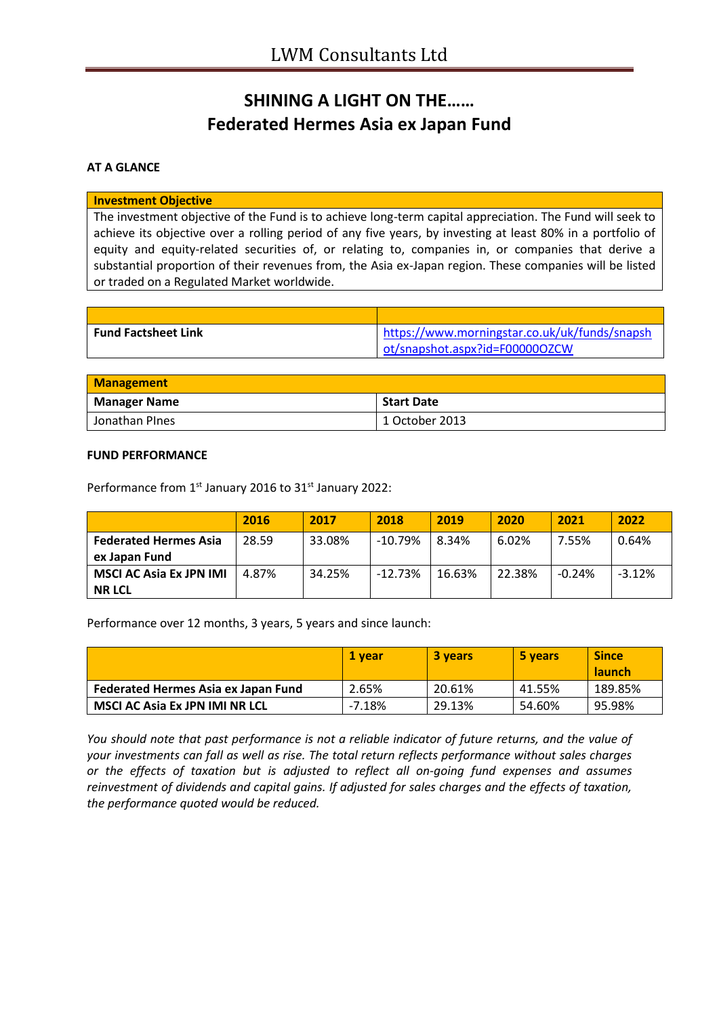# **SHINING A LIGHT ON THE…… Federated Hermes Asia ex Japan Fund**

### **AT A GLANCE**

#### **Investment Objective**

The investment objective of the Fund is to achieve long-term capital appreciation. The Fund will seek to achieve its objective over a rolling period of any five years, by investing at least 80% in a portfolio of equity and equity-related securities of, or relating to, companies in, or companies that derive a substantial proportion of their revenues from, the Asia ex-Japan region. These companies will be listed or traded on a Regulated Market worldwide.

| <b>Fund Factsheet Link</b> | https://www.morningstar.co.uk/uk/funds/snapsh |
|----------------------------|-----------------------------------------------|
|                            | ot/snapshot.aspx?id=F000000ZCW                |

| <b>Management</b>   |                   |  |
|---------------------|-------------------|--|
| <b>Manager Name</b> | <b>Start Date</b> |  |
| Jonathan PInes      | 1 October 2013    |  |

#### **FUND PERFORMANCE**

Performance from 1<sup>st</sup> January 2016 to 31<sup>st</sup> January 2022:

|                                | 2016  | 2017   | 2018       | 2019   | 2020   | 2021     | 2022     |
|--------------------------------|-------|--------|------------|--------|--------|----------|----------|
| <b>Federated Hermes Asia</b>   | 28.59 | 33.08% | $-10.79\%$ | 8.34%  | 6.02%  | 7.55%    | 0.64%    |
| ex Japan Fund                  |       |        |            |        |        |          |          |
| <b>MSCI AC Asia Ex JPN IMI</b> | 4.87% | 34.25% | $-12.73%$  | 16.63% | 22.38% | $-0.24%$ | $-3.12%$ |
| <b>NR LCL</b>                  |       |        |            |        |        |          |          |

Performance over 12 months, 3 years, 5 years and since launch:

|                                       | <b>1 vear</b> | 3 years | 5 years | <b>Since</b><br><b>launch</b> |
|---------------------------------------|---------------|---------|---------|-------------------------------|
| Federated Hermes Asia ex Japan Fund   | 2.65%         | 20.61%  | 41.55%  | 189.85%                       |
| <b>MSCI AC Asia Ex JPN IMI NR LCL</b> | $-7.18%$      | 29.13%  | 54.60%  | 95.98%                        |

*You should note that past performance is not a reliable indicator of future returns, and the value of your investments can fall as well as rise. The total return reflects performance without sales charges or the effects of taxation but is adjusted to reflect all on-going fund expenses and assumes reinvestment of dividends and capital gains. If adjusted for sales charges and the effects of taxation, the performance quoted would be reduced.*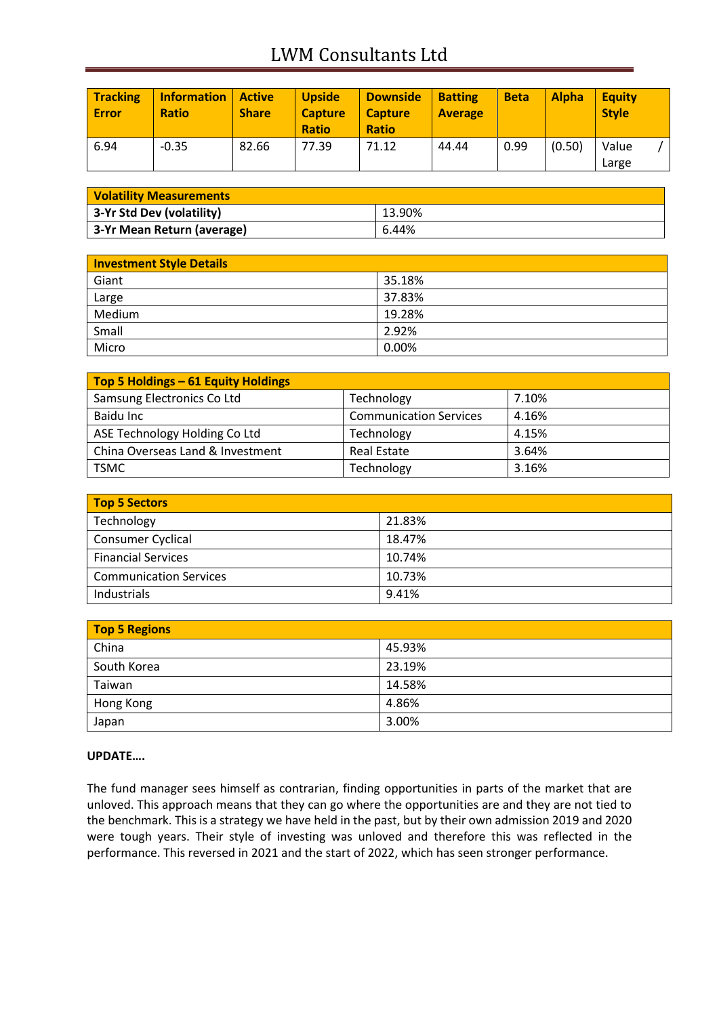# LWM Consultants Ltd

| <b>Tracking</b><br><b>Error</b> | <b>Information</b><br><b>Ratio</b> | <i><b>Active</b></i><br><b>Share</b> | <b>Upside</b><br><b>Capture</b><br><b>Ratio</b> | <b>Downside</b><br><b>Capture</b><br><b>Ratio</b> | <b>Batting</b><br><b>Average</b> | <b>Beta</b> | <b>Alpha</b> | <b>Equity</b><br><b>Style</b> |  |
|---------------------------------|------------------------------------|--------------------------------------|-------------------------------------------------|---------------------------------------------------|----------------------------------|-------------|--------------|-------------------------------|--|
| 6.94                            | $-0.35$                            | 82.66                                | 77.39                                           | 71.12                                             | 44.44                            | 0.99        | (0.50)       | Value<br>Large                |  |

| <b>Volatility Measurements</b> |        |  |
|--------------------------------|--------|--|
| 3-Yr Std Dev (volatility)      | 13.90% |  |
| 3-Yr Mean Return (average)     | 6.44%  |  |

| <b>Investment Style Details</b> |        |
|---------------------------------|--------|
| Giant                           | 35.18% |
| Large                           | 37.83% |
| Medium                          | 19.28% |
| Small                           | 2.92%  |
| Micro                           | 0.00%  |

| Top 5 Holdings - 61 Equity Holdings |                               |       |
|-------------------------------------|-------------------------------|-------|
| Samsung Electronics Co Ltd          | Technology                    | 7.10% |
| Baidu Inc                           | <b>Communication Services</b> | 4.16% |
| ASE Technology Holding Co Ltd       | Technology                    | 4.15% |
| China Overseas Land & Investment    | Real Estate                   | 3.64% |
| <b>TSMC</b>                         | Technology                    | 3.16% |

| <b>Top 5 Sectors</b>          |        |  |
|-------------------------------|--------|--|
| Technology                    | 21.83% |  |
| Consumer Cyclical             | 18.47% |  |
| <b>Financial Services</b>     | 10.74% |  |
| <b>Communication Services</b> | 10.73% |  |
| Industrials                   | 9.41%  |  |

| <b>Top 5 Regions</b> |        |
|----------------------|--------|
| China                | 45.93% |
| South Korea          | 23.19% |
| Taiwan               | 14.58% |
| Hong Kong            | 4.86%  |
| Japan                | 3.00%  |

### **UPDATE….**

The fund manager sees himself as contrarian, finding opportunities in parts of the market that are unloved. This approach means that they can go where the opportunities are and they are not tied to the benchmark. This is a strategy we have held in the past, but by their own admission 2019 and 2020 were tough years. Their style of investing was unloved and therefore this was reflected in the performance. This reversed in 2021 and the start of 2022, which has seen stronger performance.